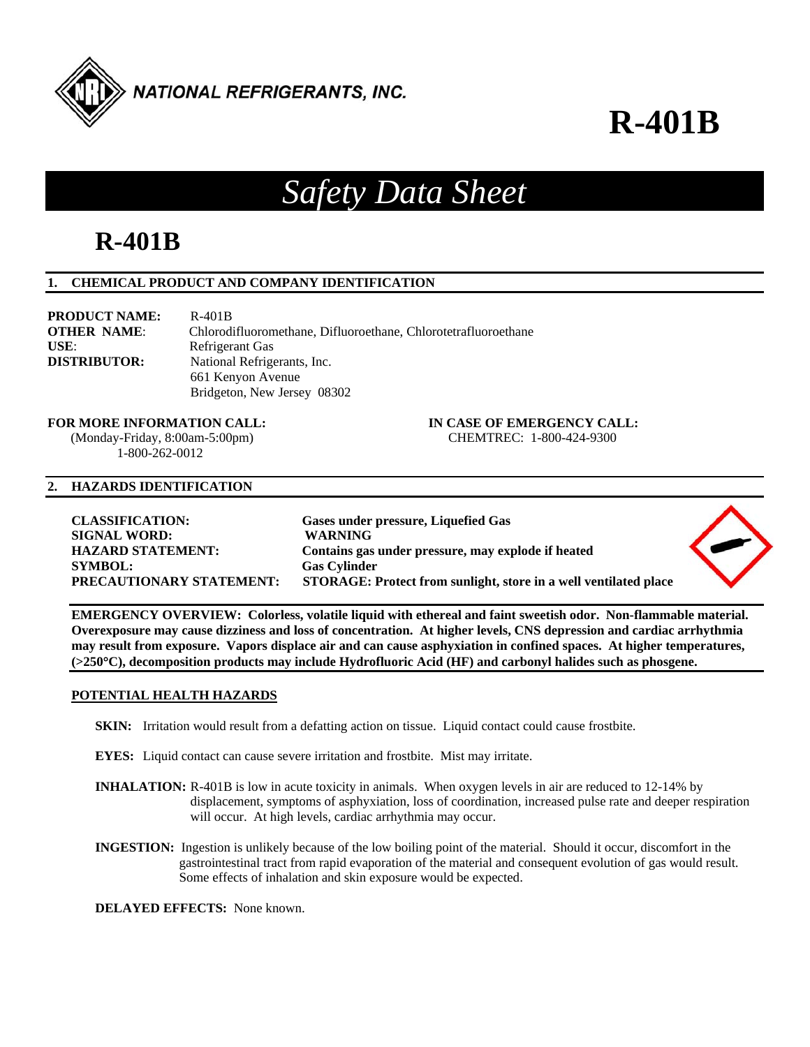

# **R-401B**

# *Safety Data Sheet*

## **R-401B**

#### **1. CHEMICAL PRODUCT AND COMPANY IDENTIFICATION**

| <b>PRODUCT NAME:</b> | $R-401B$                                                       |
|----------------------|----------------------------------------------------------------|
| <b>OTHER NAME:</b>   | Chlorodifluoromethane, Difluoroethane, Chlorotetrafluoroethane |
| $USE$                | Refrigerant Gas                                                |
| <b>DISTRIBUTOR:</b>  | National Refrigerants, Inc.                                    |
|                      | 661 Kenyon Avenue                                              |
|                      | Bridgeton, New Jersey 08302                                    |

#### **FOR MORE INFORMATION CALL: IN CASE OF EMERGENCY CALL:**  (Monday-Friday, 8:00am-5:00pm) CHEMTREC: 1-800-424-9300

1-800-262-0012

#### **2. HAZARDS IDENTIFICATION**

| <b>CLASSIFICATION:</b>   | Gases under pressure, Liquefied Gas                              |  |
|--------------------------|------------------------------------------------------------------|--|
| <b>SIGNAL WORD:</b>      | <b>WARNING</b>                                                   |  |
| <b>HAZARD STATEMENT:</b> | Contains gas under pressure, may explode if heated               |  |
| <b>SYMBOL:</b>           | <b>Gas Cylinder</b>                                              |  |
| PRECAUTIONARY STATEMENT: | STORAGE: Protect from sunlight, store in a well ventilated place |  |

**EMERGENCY OVERVIEW: Colorless, volatile liquid with ethereal and faint sweetish odor. Non-flammable material. Overexposure may cause dizziness and loss of concentration. At higher levels, CNS depression and cardiac arrhythmia may result from exposure. Vapors displace air and can cause asphyxiation in confined spaces. At higher temperatures, (>250C), decomposition products may include Hydrofluoric Acid (HF) and carbonyl halides such as phosgene.** 

#### **POTENTIAL HEALTH HAZARDS**

- **SKIN:** Irritation would result from a defatting action on tissue. Liquid contact could cause frostbite.
- **EYES:** Liquid contact can cause severe irritation and frostbite. Mist may irritate.
- **INHALATION:** R-401B is low in acute toxicity in animals. When oxygen levels in air are reduced to 12-14% by displacement, symptoms of asphyxiation, loss of coordination, increased pulse rate and deeper respiration will occur. At high levels, cardiac arrhythmia may occur.
- **INGESTION:** Ingestion is unlikely because of the low boiling point of the material. Should it occur, discomfort in the gastrointestinal tract from rapid evaporation of the material and consequent evolution of gas would result. Some effects of inhalation and skin exposure would be expected.

**DELAYED EFFECTS:** None known.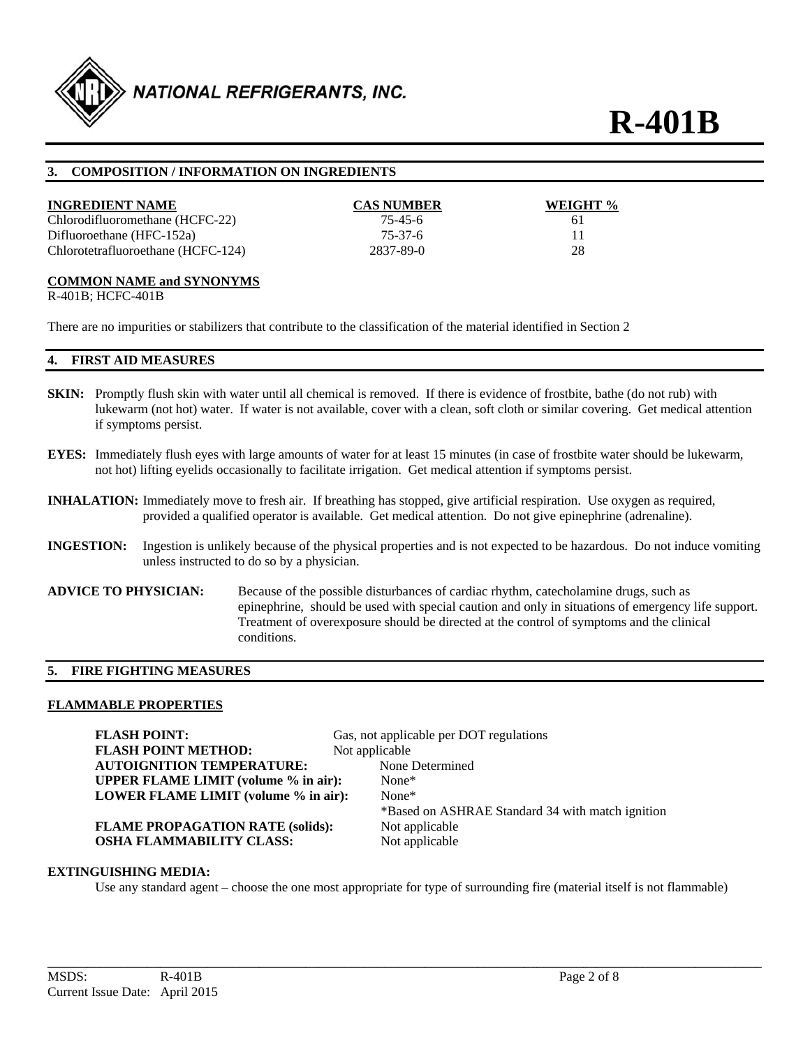

#### **3. COMPOSITION / INFORMATION ON INGREDIENTS**

| <b>INGREDIENT NAME</b>             | <b>CAS NUMBER</b> | WEIGHT % |
|------------------------------------|-------------------|----------|
| Chlorodifluoromethane (HCFC-22)    | 75-45-6           | 61       |
| Difluoroethane (HFC-152a)          | 75-37-6           |          |
| Chlorotetrafluoroethane (HCFC-124) | 2837-89-0         | 28       |

#### **COMMON NAME and SYNONYMS**

R-401B; HCFC-401B

There are no impurities or stabilizers that contribute to the classification of the material identified in Section 2

#### **4. FIRST AID MEASURES**

- **SKIN:** Promptly flush skin with water until all chemical is removed. If there is evidence of frostbite, bathe (do not rub) with lukewarm (not hot) water. If water is not available, cover with a clean, soft cloth or similar covering. Get medical attention if symptoms persist.
- **EYES:** Immediately flush eyes with large amounts of water for at least 15 minutes (in case of frostbite water should be lukewarm, not hot) lifting eyelids occasionally to facilitate irrigation. Get medical attention if symptoms persist.
- **INHALATION:** Immediately move to fresh air. If breathing has stopped, give artificial respiration. Use oxygen as required, provided a qualified operator is available. Get medical attention. Do not give epinephrine (adrenaline).
- **INGESTION:** Ingestion is unlikely because of the physical properties and is not expected to be hazardous. Do not induce vomiting unless instructed to do so by a physician.
- **ADVICE TO PHYSICIAN:** Because of the possible disturbances of cardiac rhythm, catecholamine drugs, such as epinephrine, should be used with special caution and only in situations of emergency life support. Treatment of overexposure should be directed at the control of symptoms and the clinical conditions.

#### **5. FIRE FIGHTING MEASURES**

#### **FLAMMABLE PROPERTIES**

**FLASH POINT:** Gas, not applicable per DOT regulations **FLASH POINT METHOD:** Not applicable **AUTOIGNITION TEMPERATURE:** None Determined **UPPER FLAME LIMIT (volume % in air):** None\* **LOWER FLAME LIMIT (volume % in air):** None\* \*Based on ASHRAE Standard 34 with match ignition **FLAME PROPAGATION RATE (solids):** Not applicable **OSHA FLAMMABILITY CLASS:** Not applicable

#### **EXTINGUISHING MEDIA:**

Use any standard agent – choose the one most appropriate for type of surrounding fire (material itself is not flammable)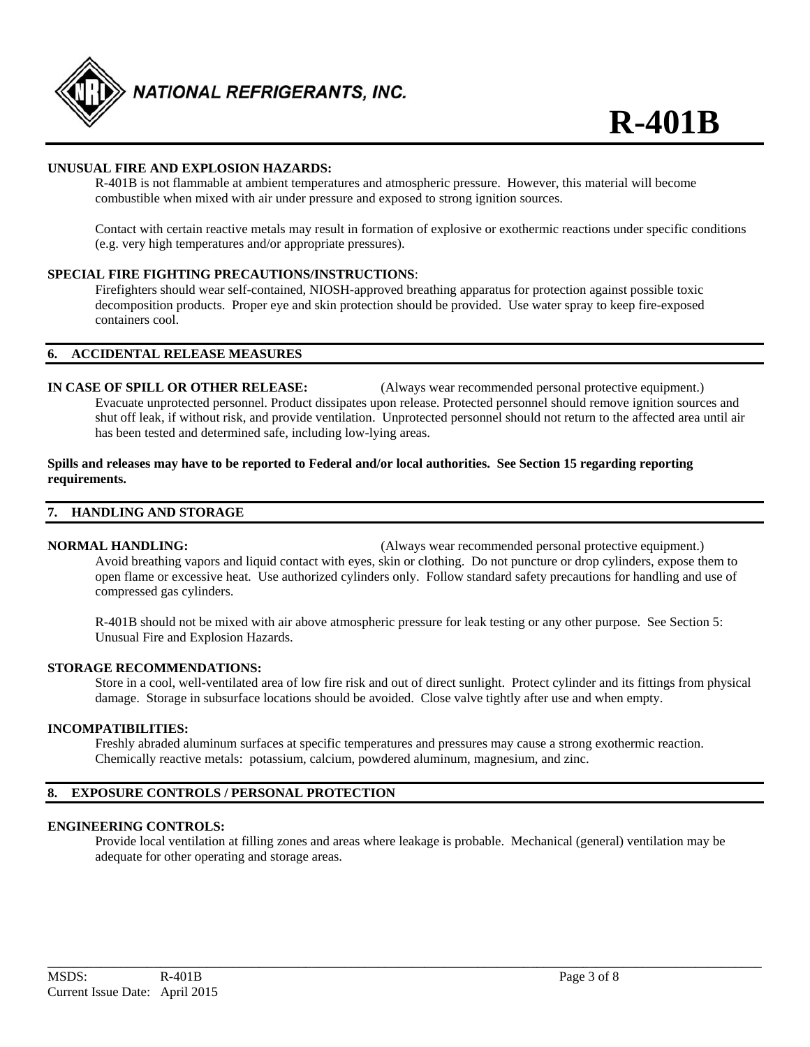

#### **UNUSUAL FIRE AND EXPLOSION HAZARDS:**

 R-401B is not flammable at ambient temperatures and atmospheric pressure. However, this material will become combustible when mixed with air under pressure and exposed to strong ignition sources.

Contact with certain reactive metals may result in formation of explosive or exothermic reactions under specific conditions (e.g. very high temperatures and/or appropriate pressures).

#### **SPECIAL FIRE FIGHTING PRECAUTIONS/INSTRUCTIONS**:

 Firefighters should wear self-contained, NIOSH-approved breathing apparatus for protection against possible toxic decomposition products. Proper eye and skin protection should be provided. Use water spray to keep fire-exposed containers cool.

#### **6. ACCIDENTAL RELEASE MEASURES**

**IN CASE OF SPILL OR OTHER RELEASE:** (Always wear recommended personal protective equipment.) Evacuate unprotected personnel. Product dissipates upon release. Protected personnel should remove ignition sources and shut off leak, if without risk, and provide ventilation. Unprotected personnel should not return to the affected area until air has been tested and determined safe, including low-lying areas.

#### **Spills and releases may have to be reported to Federal and/or local authorities. See Section 15 regarding reporting requirements.**

#### **7. HANDLING AND STORAGE**

**NORMAL HANDLING:** (Always wear recommended personal protective equipment.)

 Avoid breathing vapors and liquid contact with eyes, skin or clothing. Do not puncture or drop cylinders, expose them to open flame or excessive heat. Use authorized cylinders only. Follow standard safety precautions for handling and use of compressed gas cylinders.

R-401B should not be mixed with air above atmospheric pressure for leak testing or any other purpose. See Section 5: Unusual Fire and Explosion Hazards.

#### **STORAGE RECOMMENDATIONS:**

 Store in a cool, well-ventilated area of low fire risk and out of direct sunlight. Protect cylinder and its fittings from physical damage. Storage in subsurface locations should be avoided. Close valve tightly after use and when empty.

#### **INCOMPATIBILITIES:**

Freshly abraded aluminum surfaces at specific temperatures and pressures may cause a strong exothermic reaction. Chemically reactive metals: potassium, calcium, powdered aluminum, magnesium, and zinc.

#### **8. EXPOSURE CONTROLS / PERSONAL PROTECTION**

#### **ENGINEERING CONTROLS:**

 Provide local ventilation at filling zones and areas where leakage is probable. Mechanical (general) ventilation may be adequate for other operating and storage areas.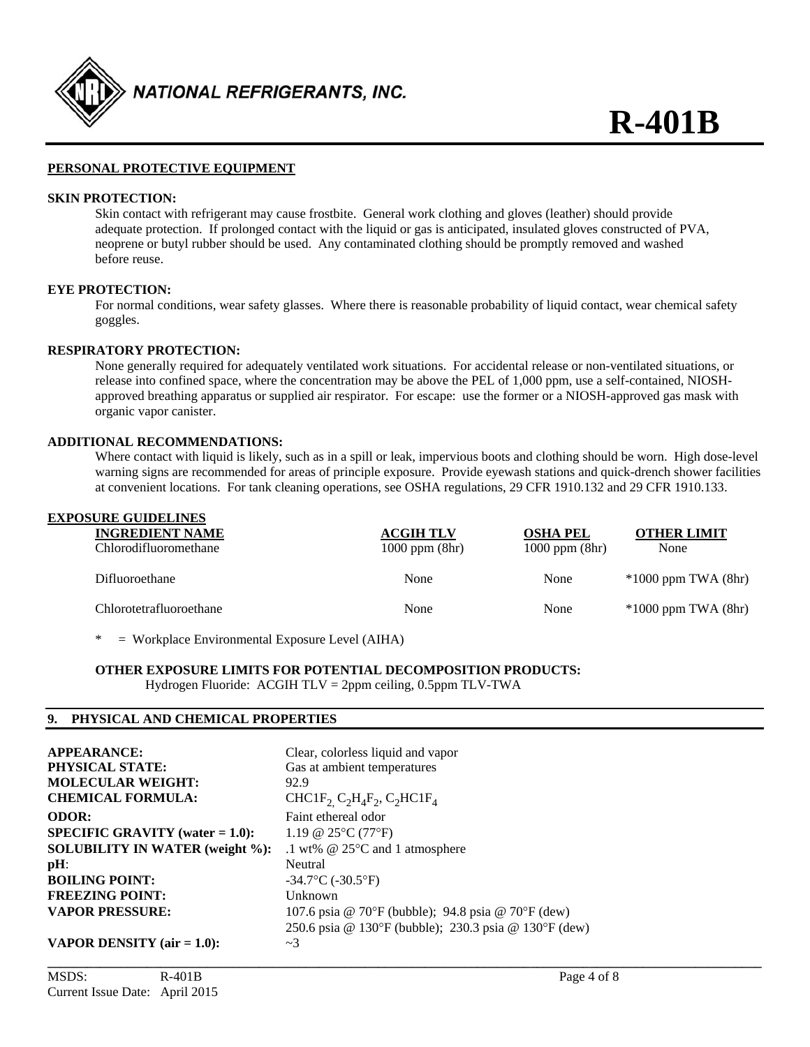

#### **PERSONAL PROTECTIVE EQUIPMENT**

#### **SKIN PROTECTION:**

 Skin contact with refrigerant may cause frostbite. General work clothing and gloves (leather) should provide adequate protection. If prolonged contact with the liquid or gas is anticipated, insulated gloves constructed of PVA, neoprene or butyl rubber should be used. Any contaminated clothing should be promptly removed and washed before reuse.

#### **EYE PROTECTION:**

 For normal conditions, wear safety glasses. Where there is reasonable probability of liquid contact, wear chemical safety goggles.

#### **RESPIRATORY PROTECTION:**

 None generally required for adequately ventilated work situations. For accidental release or non-ventilated situations, or release into confined space, where the concentration may be above the PEL of 1,000 ppm, use a self-contained, NIOSH approved breathing apparatus or supplied air respirator. For escape: use the former or a NIOSH-approved gas mask with organic vapor canister.

#### **ADDITIONAL RECOMMENDATIONS:**

 Where contact with liquid is likely, such as in a spill or leak, impervious boots and clothing should be worn. High dose-level warning signs are recommended for areas of principle exposure. Provide eyewash stations and quick-drench shower facilities at convenient locations. For tank cleaning operations, see OSHA regulations, 29 CFR 1910.132 and 29 CFR 1910.133.

| <b>EXPOSURE GUIDELINES</b> |                    |                    |                         |
|----------------------------|--------------------|--------------------|-------------------------|
| <b>INGREDIENT NAME</b>     | <b>ACGIH TLV</b>   | <b>OSHA PEL</b>    | <b>OTHER LIMIT</b>      |
| Chlorodifluoromethane      | $1000$ ppm $(8hr)$ | $1000$ ppm $(8hr)$ | None                    |
| Difluoroethane             | None               | None               | $*1000$ ppm TWA $(8hr)$ |
| Chlorotetrafluoroethane    | None               | None               | $*1000$ ppm TWA $(8hr)$ |
|                            |                    |                    |                         |

**\_\_\_\_\_\_\_\_\_\_\_\_\_\_\_\_\_\_\_\_\_\_\_\_\_\_\_\_\_\_\_\_\_\_\_\_\_\_\_\_\_\_\_\_\_\_\_\_\_\_\_\_\_\_\_\_\_\_\_\_\_\_\_\_\_\_\_\_\_\_\_\_\_\_\_\_\_\_\_\_\_\_\_\_\_\_\_\_\_\_\_\_\_\_\_\_\_\_\_\_\_\_\_\_\_\_\_\_** 

= Workplace Environmental Exposure Level (AIHA)

#### **OTHER EXPOSURE LIMITS FOR POTENTIAL DECOMPOSITION PRODUCTS:**

Hydrogen Fluoride: ACGIH TLV = 2ppm ceiling, 0.5ppm TLV-TWA

#### **9. PHYSICAL AND CHEMICAL PROPERTIES**

| <b>APPEARANCE:</b>                        | Clear, colorless liquid and vapor                                                                  |
|-------------------------------------------|----------------------------------------------------------------------------------------------------|
| <b>PHYSICAL STATE:</b>                    | Gas at ambient temperatures                                                                        |
| <b>MOLECULAR WEIGHT:</b>                  | 92.9                                                                                               |
| <b>CHEMICAL FORMULA:</b>                  | CHC1F <sub>2</sub> C <sub>2</sub> H <sub>4</sub> F <sub>2</sub> , C <sub>2</sub> HC1F <sub>4</sub> |
| <b>ODOR:</b>                              | Faint ethereal odor                                                                                |
| <b>SPECIFIC GRAVITY</b> (water $= 1.0$ ): | 1.19 @ 25 $\rm ^{\circ}$ C (77 $\rm ^{\circ}$ F)                                                   |
| <b>SOLUBILITY IN WATER (weight %):</b>    | .1 wt% $@$ 25 $°C$ and 1 atmosphere                                                                |
| $pH$ :                                    | Neutral                                                                                            |
| <b>BOILING POINT:</b>                     | $-34.7$ °C ( $-30.5$ °F)                                                                           |
| <b>FREEZING POINT:</b>                    | Unknown                                                                                            |
| <b>VAPOR PRESSURE:</b>                    | 107.6 psia @ 70°F (bubble); 94.8 psia @ 70°F (dew)                                                 |
|                                           | 250.6 psia @ 130°F (bubble); 230.3 psia @ 130°F (dew)                                              |
| <b>VAPOR DENSITY</b> ( $air = 1.0$ ):     | $\sim$ 3                                                                                           |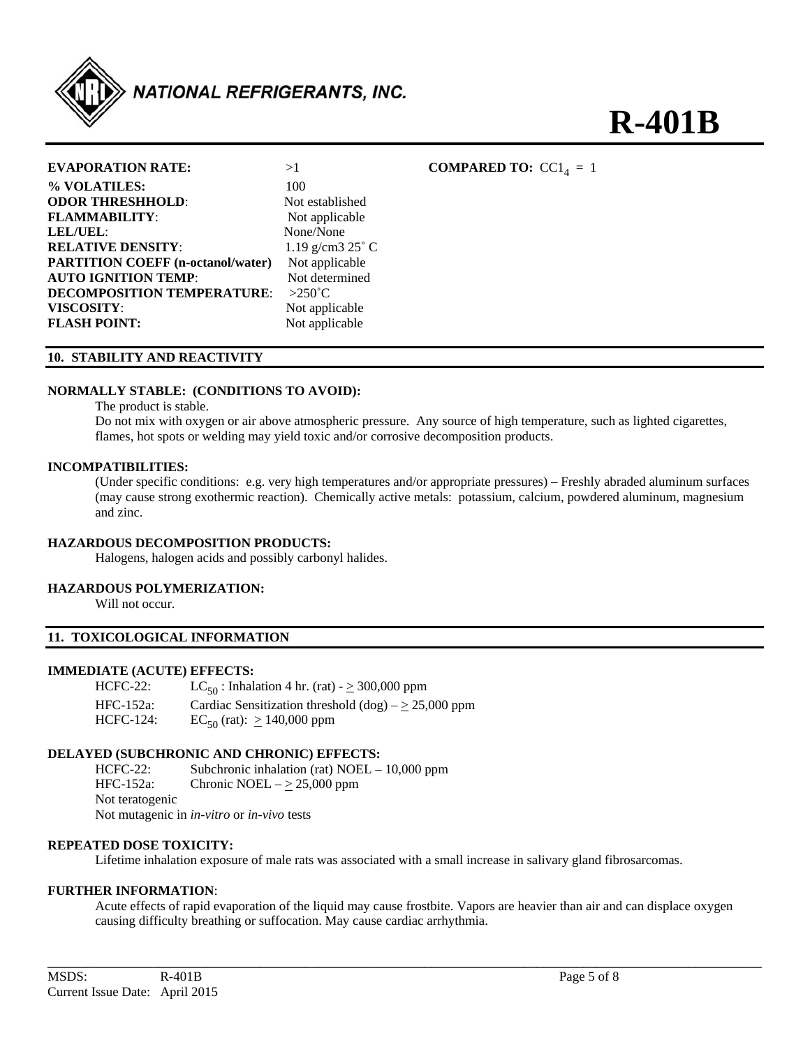

# **R-401B**

| <b>EVAPORATION RATE:</b>                 | >1               |
|------------------------------------------|------------------|
| % VOLATILES:                             | 100              |
| <b>ODOR THRESHHOLD:</b>                  | Not estab        |
| <b>FLAMMABILITY:</b>                     | Not appl         |
| LEL/UEL:                                 | None/No          |
| <b>RELATIVE DENSITY:</b>                 | $1.19$ g/cn      |
| <b>PARTITION COEFF (n-octanol/water)</b> | Not appl         |
| <b>AUTO IGNITION TEMP:</b>               | Not dete         |
| <b>DECOMPOSITION TEMPERATURE:</b>        | $>250^{\circ}$ C |
| VISCOSITY:                               | Not appl         |
| <b>FLASH POINT:</b>                      | Not appli        |

**t** established **FLAMMABILITY**: Not applicable **LEL/UEL**: None/None **RELATIVE DENSITY**: 1.19 g/cm3 25˚ C ot applicable ot determined bt applicable **FLASH POINT:** Not applicable

#### **COMPARED TO:**  $CC1<sub>4</sub> = 1$

#### **10. STABILITY AND REACTIVITY**

#### **NORMALLY STABLE: (CONDITIONS TO AVOID):**

The product is stable.

 Do not mix with oxygen or air above atmospheric pressure. Any source of high temperature, such as lighted cigarettes, flames, hot spots or welding may yield toxic and/or corrosive decomposition products.

#### **INCOMPATIBILITIES:**

 (Under specific conditions: e.g. very high temperatures and/or appropriate pressures) – Freshly abraded aluminum surfaces (may cause strong exothermic reaction). Chemically active metals: potassium, calcium, powdered aluminum, magnesium and zinc.

#### **HAZARDOUS DECOMPOSITION PRODUCTS:**

Halogens, halogen acids and possibly carbonyl halides.

#### **HAZARDOUS POLYMERIZATION:**

Will not occur.

#### **11. TOXICOLOGICAL INFORMATION**

#### **IMMEDIATE (ACUTE) EFFECTS:**

HCFC-22:  $LC_{50}$ : Inhalation 4 hr. (rat) -  $\geq$  300,000 ppm HFC-152a: Cardiac Sensitization threshold  $(dog) - \ge 25,000$  ppm HCFC-124:  $\text{EC}_{50} \text{ (rat): } \geq 140,000 \text{ ppm}$ 

#### **DELAYED (SUBCHRONIC AND CHRONIC) EFFECTS:**

HCFC-22: Subchronic inhalation (rat) NOEL – 10,000 ppm HFC-152a: Chronic NOEL –  $\geq$  25,000 ppm Not teratogenic Not mutagenic in *in-vitro* or *in-vivo* tests

#### **REPEATED DOSE TOXICITY:**

Lifetime inhalation exposure of male rats was associated with a small increase in salivary gland fibrosarcomas.

#### **FURTHER INFORMATION**:

Acute effects of rapid evaporation of the liquid may cause frostbite. Vapors are heavier than air and can displace oxygen causing difficulty breathing or suffocation. May cause cardiac arrhythmia.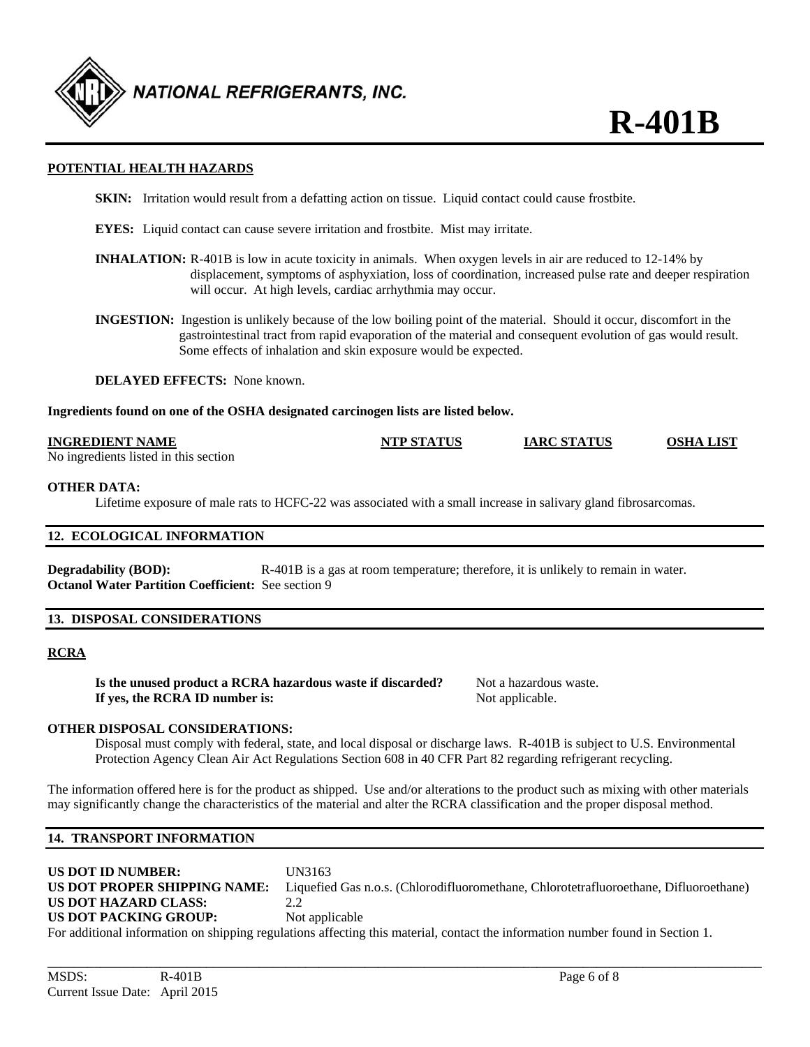

#### **POTENTIAL HEALTH HAZARDS**

- **SKIN:** Irritation would result from a defatting action on tissue. Liquid contact could cause frostbite.
- **EYES:** Liquid contact can cause severe irritation and frostbite. Mist may irritate.
- **INHALATION:** R-401B is low in acute toxicity in animals. When oxygen levels in air are reduced to 12-14% by displacement, symptoms of asphyxiation, loss of coordination, increased pulse rate and deeper respiration will occur. At high levels, cardiac arrhythmia may occur.
- **INGESTION:** Ingestion is unlikely because of the low boiling point of the material. Should it occur, discomfort in the gastrointestinal tract from rapid evaporation of the material and consequent evolution of gas would result. Some effects of inhalation and skin exposure would be expected.

**DELAYED EFFECTS:** None known.

**Ingredients found on one of the OSHA designated carcinogen lists are listed below.** 

#### **INGREDIENT NAME NTP STATUS IARC STATUS OSHA LIST**

No ingredients listed in this section

#### **OTHER DATA:**

Lifetime exposure of male rats to HCFC-22 was associated with a small increase in salivary gland fibrosarcomas.

#### **12. ECOLOGICAL INFORMATION**

**Degradability (BOD):** R-401B is a gas at room temperature; therefore, it is unlikely to remain in water. **Octanol Water Partition Coefficient:** See section 9

#### **13. DISPOSAL CONSIDERATIONS**

#### **RCRA**

|  |                                |  | Is the unused product a RCRA hazardous waste if discarded? |  |
|--|--------------------------------|--|------------------------------------------------------------|--|
|  | If yes, the RCRA ID number is: |  |                                                            |  |

Not a hazardous waste. Not applicable.

#### **OTHER DISPOSAL CONSIDERATIONS:**

Disposal must comply with federal, state, and local disposal or discharge laws. R-401B is subject to U.S. Environmental Protection Agency Clean Air Act Regulations Section 608 in 40 CFR Part 82 regarding refrigerant recycling.

The information offered here is for the product as shipped. Use and/or alterations to the product such as mixing with other materials may significantly change the characteristics of the material and alter the RCRA classification and the proper disposal method.

#### **14. TRANSPORT INFORMATION**

| <b>US DOT ID NUMBER:</b><br>US DOT PROPER SHIPPING NAME:                                                                       | UN3163<br>Liquefied Gas n.o.s. (Chlorodifluoromethane, Chlorotetrafluoroethane, Difluoroethane) |  |
|--------------------------------------------------------------------------------------------------------------------------------|-------------------------------------------------------------------------------------------------|--|
| US DOT HAZARD CLASS:                                                                                                           |                                                                                                 |  |
| <b>US DOT PACKING GROUP:</b>                                                                                                   | Not applicable                                                                                  |  |
| For additional information on shipping regulations affecting this material, contact the information number found in Section 1. |                                                                                                 |  |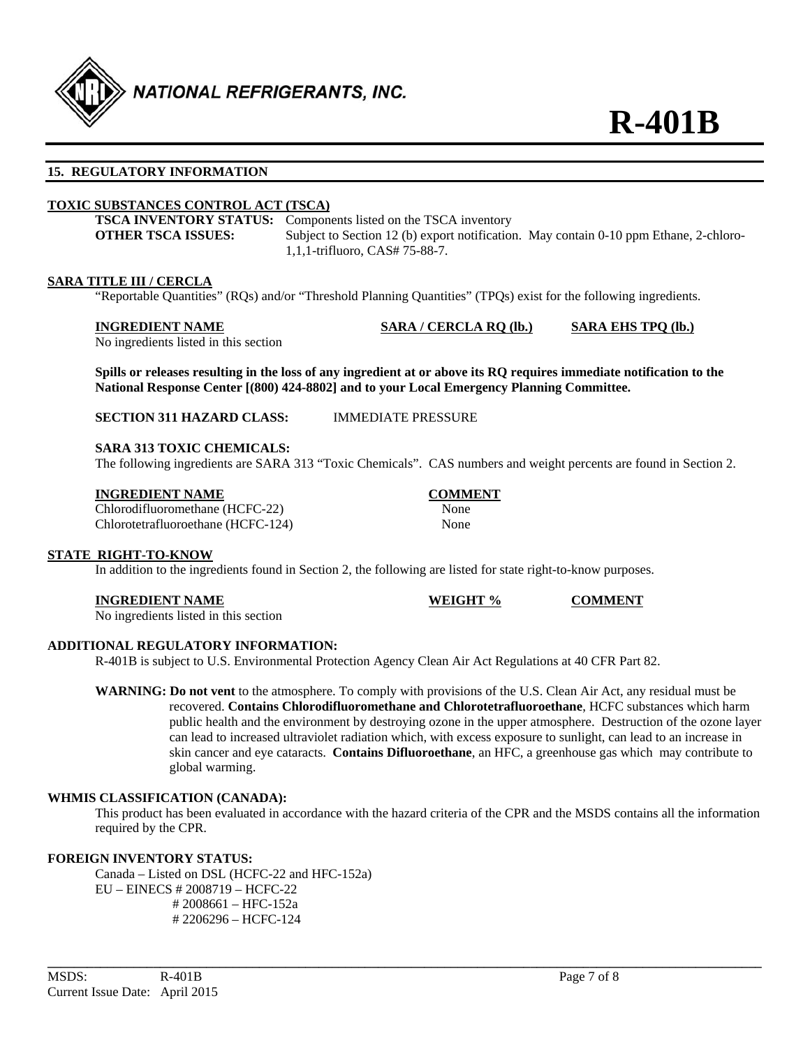

#### **15. REGULATORY INFORMATION**

#### **TOXIC SUBSTANCES CONTROL ACT (TSCA)**

|                    | <b>TSCA INVENTORY STATUS:</b> Components listed on the TSCA inventory                 |  |
|--------------------|---------------------------------------------------------------------------------------|--|
| OTHER TSCA ISSUES: | Subject to Section 12 (b) export notification. May contain 0-10 ppm Ethane, 2-chloro- |  |
|                    | 1,1,1-trifluoro, CAS# 75-88-7.                                                        |  |

#### **SARA TITLE III / CERCLA**

"Reportable Quantities" (RQs) and/or "Threshold Planning Quantities" (TPQs) exist for the following ingredients.

#### **INGREDIENT NAME SARA / CERCLA RQ (lb.) SARA EHS TPQ (lb.)**

No ingredients listed in this section

**Spills or releases resulting in the loss of any ingredient at or above its RQ requires immediate notification to the National Response Center [(800) 424-8802] and to your Local Emergency Planning Committee.** 

**SECTION 311 HAZARD CLASS:** IMMEDIATE PRESSURE

#### **SARA 313 TOXIC CHEMICALS:**

The following ingredients are SARA 313 "Toxic Chemicals". CAS numbers and weight percents are found in Section 2.

#### **INGREDIENT NAME COMMENT**

Chlorodifluoromethane (HCFC-22) None Chlorotetrafluoroethane (HCFC-124) None

#### **STATE RIGHT-TO-KNOW**

In addition to the ingredients found in Section 2, the following are listed for state right-to-know purposes.

#### **INGREDIENT NAME WEIGHT % COMMENT**

No ingredients listed in this section

#### **ADDITIONAL REGULATORY INFORMATION:**

R-401B is subject to U.S. Environmental Protection Agency Clean Air Act Regulations at 40 CFR Part 82.

**WARNING: Do not vent** to the atmosphere. To comply with provisions of the U.S. Clean Air Act, any residual must be recovered. **Contains Chlorodifluoromethane and Chlorotetrafluoroethane**, HCFC substances which harm public health and the environment by destroying ozone in the upper atmosphere. Destruction of the ozone layer can lead to increased ultraviolet radiation which, with excess exposure to sunlight, can lead to an increase in skin cancer and eye cataracts. **Contains Difluoroethane**, an HFC, a greenhouse gas which may contribute to global warming.

#### **WHMIS CLASSIFICATION (CANADA):**

 This product has been evaluated in accordance with the hazard criteria of the CPR and the MSDS contains all the information required by the CPR.

**\_\_\_\_\_\_\_\_\_\_\_\_\_\_\_\_\_\_\_\_\_\_\_\_\_\_\_\_\_\_\_\_\_\_\_\_\_\_\_\_\_\_\_\_\_\_\_\_\_\_\_\_\_\_\_\_\_\_\_\_\_\_\_\_\_\_\_\_\_\_\_\_\_\_\_\_\_\_\_\_\_\_\_\_\_\_\_\_\_\_\_\_\_\_\_\_\_\_\_\_\_\_\_\_\_\_\_\_** 

#### **FOREIGN INVENTORY STATUS:**

 Canada – Listed on DSL (HCFC-22 and HFC-152a) EU – EINECS # 2008719 – HCFC-22 # 2008661 – HFC-152a # 2206296 – HCFC-124

MSDS: R-401B R2018 R2018 R2018 R2022 R2018 R3ge 7 of 8 Current Issue Date: April 2015